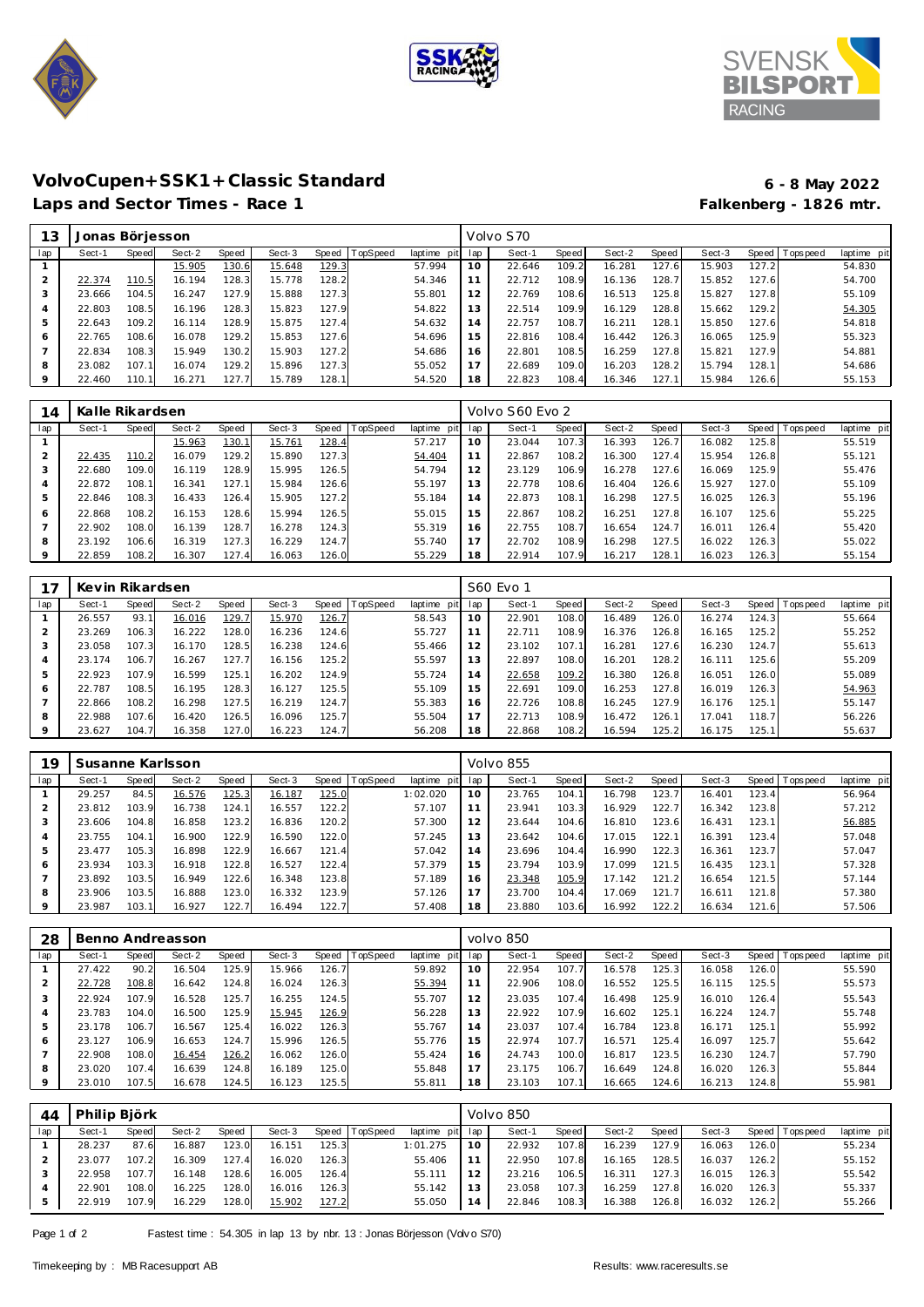





## **VolvoCupen+SSK1+Classic Standard 6 - 8 May 2022**

Laps and Sector Times - Race 1

| 13      | Jonas Börjesson |       |        |       |        |       |          |                |     | Volvo S70 |       |        |       |        |       |                 |             |
|---------|-----------------|-------|--------|-------|--------|-------|----------|----------------|-----|-----------|-------|--------|-------|--------|-------|-----------------|-------------|
| lap     | Sect-1          | Speed | Sect-2 | Speed | Sect-3 | Speed | TopSpeed | laptime<br>pit | lap | Sect-1    | Speed | Sect-2 | Speed | Sect-3 |       | Speed Tops peed | laptime pit |
|         |                 |       | 15.905 | 130.6 | 15.648 | 129.3 |          | 57.994         | 10  | 22.646    | 109.2 | 16.281 | 127.6 | 15.903 | 127.2 |                 | 54.830      |
|         | 22.374          | 110.5 | 16.194 | 128.3 | 15.778 | 128.2 |          | 54.346         |     | 22.712    | 108.9 | 16.136 | 128.7 | 15.852 | 127.6 |                 | 54.700      |
| 3       | 23.666          | 104.5 | 16.247 | 127.9 | 15.888 | 127.3 |          | 55.801         | 12  | 22.769    | 108.6 | 16.513 | 125.8 | 15.827 | 127.8 |                 | 55.109      |
| 4       | 22.803          | 108.5 | 16.196 | 128.3 | 15.823 | 127.9 |          | 54.822         | 13  | 22.514    | 109.9 | 16.129 | 128.8 | 15.662 | 129.2 |                 | 54.305      |
| 5       | 22.643          | 109.2 | 16.114 | 128.9 | 15.875 | 127.4 |          | 54.632         | 14  | 22.757    | 108.7 | 16.211 | 128.1 | 15.850 | 127.6 |                 | 54.818      |
| 6       | 22.765          | 108.6 | 16.078 | 129.2 | 15.853 | 127.6 |          | 54.696         | 15  | 22.816    | 108.4 | 16.442 | 126.3 | 16.065 | 125.9 |                 | 55.323      |
|         | 22.834          | 108.3 | 15.949 | 130.2 | 15.903 | 127.2 |          | 54.686         | 16  | 22.801    | 108.5 | 16.259 | 127.8 | 15.821 | 127.9 |                 | 54.881      |
| 8       | 23.082          | 107.1 | 16.074 | 129.2 | 15.896 | 127.3 |          | 55.052         | 17  | 22.689    | 109.0 | 16.203 | 128.2 | 15.794 | 128.1 |                 | 54.686      |
| $\circ$ | 22.460          | 110.1 | 16.271 | 127.7 | 15.789 | 128.1 |          | 54.520         | 18  | 22.823    | 108.4 | 16.346 | 127.7 | 15.984 | 126.6 |                 | 55.153      |

| 14  | Kalle Rikardsen |       |        |       |        |       |                 |                |     | Volvo S60 Evo 2 |       |        |        |        |       |                 |             |
|-----|-----------------|-------|--------|-------|--------|-------|-----------------|----------------|-----|-----------------|-------|--------|--------|--------|-------|-----------------|-------------|
| lap | Sect-1          | Speed | Sect-2 | Speed | Sect-3 | Speed | <b>TopSpeed</b> | laptime<br>pit | lap | Sect-1          | Speed | Sect-2 | Speed  | Sect-3 |       | Speed Tops peed | laptime pit |
|     |                 |       | 15.963 | 130.1 | 15.761 | 128.4 |                 | 57.217         | 1 C | 23.044          | 107.3 | 16.393 | 126.7  | 16.082 | 125.8 |                 | 55.519      |
|     | 22.435          | 110.2 | 16.079 | 129.2 | 15.890 | 127.3 |                 | 54.404         |     | 22.867          | 108.2 | 16.300 | 127.4  | 15.954 | 126.8 |                 | 55.121      |
| 3   | 22.680          | 109.0 | 16.119 | 128.9 | 15.995 | 126.5 |                 | 54.794         | 12  | 23.129          | 106.9 | 16.278 | 127.61 | 16.069 | 125.9 |                 | 55.476      |
| 4   | 22.872          | 108.1 | 16.341 | 127.  | 15.984 | 126.6 |                 | 55.197         | 13  | 22.778          | 108.6 | 16.404 | 126.6  | 15.927 | 127.0 |                 | 55.109      |
| 5   | 22.846          | 108.3 | 16.433 | 126.4 | 15.905 | 127.2 |                 | 55.184         | 14  | 22.873          | 108.1 | 16.298 | 127.5  | 16.025 | 126.3 |                 | 55.196      |
| 6   | 22.868          | 108.2 | 16.153 | 128.6 | 15.994 | 126.5 |                 | 55.015         | 15  | 22.867          | 108.2 | 16.251 | 127.8  | 16.107 | 125.6 |                 | 55.225      |
|     | 22.902          | 108.0 | 16.139 | 128.7 | 16.278 | 124.3 |                 | 55.319         | 16  | 22.755          | 108.7 | 16.654 | 124.7  | 16.011 | 126.4 |                 | 55.420      |
| 8   | 23.192          | 106.6 | 16.319 | 127.3 | 16.229 | 124.7 |                 | 55.740         |     | 22.702          | 108.9 | 16.298 | 127.5  | 16.022 | 126.3 |                 | 55.022      |
| 9   | 22.859          | 108.2 | 16.307 | 127.4 | 16.063 | 126.0 |                 | 55.229         | 18  | 22.914          | 107.9 | 16.217 | 128.1  | 16.023 | 126.3 |                 | 55.154      |

| 17  | Kevin Rikardsen |       |        |       |        |                |          |             |     | S60 Evo 1 |              |        |       |        |       |                 |             |
|-----|-----------------|-------|--------|-------|--------|----------------|----------|-------------|-----|-----------|--------------|--------|-------|--------|-------|-----------------|-------------|
| lap | Sect-1          | Speed | Sect-2 | Speed | Sect-3 | Speed          | TopSpeed | laptime pit | lap | Sect-1    | <b>Speed</b> | Sect-2 | Speed | Sect-3 |       | Speed Tops peed | laptime pit |
|     | 26.557          | 93.   | 16.016 | 129.7 | 15.970 | <u> 126. 7</u> |          | 58.543      | 10  | 22.901    | 108.0        | 16.489 | 126.0 | 16.274 | 124.3 |                 | 55.664      |
|     | 23.269          | 106.3 | 16.222 | 128.0 | 16.236 | 124.6          |          | 55.727      | 11  | 22.711    | 108.9        | 16.376 | 126.8 | 16.165 | 125.2 |                 | 55.252      |
| 3   | 23.058          | 107.3 | 16.170 | 128.5 | 16.238 | 124.6          |          | 55.466      | 12  | 23.102    | 107.1        | 16.281 | 127.6 | 16.230 | 124.7 |                 | 55.613      |
| 4   | 23.174          | 106.7 | 16.267 | 127.7 | 16.156 | 125.2          |          | 55.597      | 13  | 22.897    | 108.0        | 16.201 | 128.2 | 16.111 | 125.6 |                 | 55.209      |
| 5   | 22.923          | 107.9 | 16.599 | 125.1 | 16.202 | 124.9          |          | 55.724      | 14  | 22.658    | 109.2        | 16.380 | 126.8 | 16.051 | 126.0 |                 | 55.089      |
| 6   | 22.787          | 108.5 | 16.195 | 128.3 | 16.127 | 125.5          |          | 55.109      | 15  | 22.691    | 109.0        | 16.253 | 127.8 | 16.019 | 126.3 |                 | 54.963      |
|     | 22.866          | 108.2 | 16.298 | 127.5 | 16.219 | 124.7          |          | 55.383      | 16  | 22.726    | 108.8        | 16.245 | 127.9 | 16.176 | 125.1 |                 | 55.147      |
| 8   | 22.988          | 107.6 | 16.420 | 126.5 | 16.096 | 125.7          |          | 55.504      |     | 22.713    | 108.9        | 16.472 | 126.1 | 17.041 | 118.7 |                 | 56.226      |
| 9   | 23.627          | 104.7 | 16.358 | 127.0 | 16.223 | 124.7          |          | 56.208      | 18  | 22.868    | 108.2        | 16.594 | 125.2 | 16.175 | 125.1 |                 | 55.637      |

| 19  |        |              | Susanne Karlsson |       |        |       |          |                 |     | Volvo 855 |       |        |       |        |       |            |             |
|-----|--------|--------------|------------------|-------|--------|-------|----------|-----------------|-----|-----------|-------|--------|-------|--------|-------|------------|-------------|
| lap | Sect-1 | <b>Speed</b> | Sect-2           | Speed | Sect-3 | Speed | TopSpeed | laptime<br>pitl | lap | Sect-1    | Speed | Sect-2 | Speed | Sect-3 | Speed | Tops pee d | laptime pit |
|     | 29.257 | 84.5         | 16.576           | 125.3 | 16.187 | 125.0 |          | 1:02.020        | 10  | 23.765    | 104.1 | 16.798 | 123.7 | 16.401 | 123.4 |            | 56.964      |
|     | 23.812 | 103.9        | 16.738           | 124.1 | 16.557 | 122.2 |          | 57.107          |     | 23.941    | 103.3 | 16.929 | 122.7 | 16.342 | 123.8 |            | 57.212      |
| 3   | 23.606 | 104.8        | 16.858           | 123.2 | 16.836 | 120.2 |          | 57.300          | 12  | 23.644    | 104.6 | 16.810 | 123.6 | 16.431 | 123.1 |            | 56.885      |
| 4   | 23.755 | 104.1        | 16.900           | 122.9 | 16.590 | 122.0 |          | 57.245          | 13  | 23.642    | 104.6 | 17.015 | 122.1 | 16.391 | 123.4 |            | 57.048      |
| 5   | 23.477 | 105.3        | 16.898           | 122.9 | 16.667 | 121.4 |          | 57.042          | 14  | 23.696    | 104.4 | 16.990 | 122.3 | 16.361 | 123.7 |            | 57.047      |
| 6   | 23.934 | 103.3        | 16.918           | 122.8 | 16.527 | 122.4 |          | 57.379          | 15  | 23.794    | 103.9 | 17.099 | 121.5 | 16.435 | 123.1 |            | 57.328      |
|     | 23.892 | 103.5        | 16.949           | 122.6 | 16.348 | 123.8 |          | 57.189          | 16  | 23.348    | 105.9 | 17.142 | 121.2 | 16.654 | 121.5 |            | 57.144      |
| 8   | 23.906 | 103.5        | 16.888           | 123.0 | 16.332 | 123.9 |          | 57.126          |     | 23.700    | 104.4 | 17.069 | 121.7 | 16.611 | 121.8 |            | 57.380      |
|     | 23.987 | 103.1        | 16.927           | 122.7 | 16.494 | 122.7 |          | 57.408          | 18  | 23.880    | 103.6 | 16.992 | 122.2 | 16.634 | 121.6 |            | 57.506      |

| 28      |        |       | Benno Andreasson |       |        |       |                 |             |     | volvo 850 |       |        |       |        |       |                 |             |
|---------|--------|-------|------------------|-------|--------|-------|-----------------|-------------|-----|-----------|-------|--------|-------|--------|-------|-----------------|-------------|
| lap     | Sect-1 | Speed | Sect-2           | Speed | Sect-3 | Speed | <b>TopSpeed</b> | laptime pit | lap | Sect-1    | Speed | Sect-2 | Speed | Sect-3 |       | Speed Tops peed | laptime pit |
|         | 27.422 | 90.2  | 16.504           | 125.9 | 15.966 | 126.7 |                 | 59.892      | 10  | 22.954    | 107.7 | 16.578 | 125.3 | 16.058 | 126.0 |                 | 55.590      |
|         | 22.728 | 108.8 | 16.642           | 124.8 | 16.024 | 126.3 |                 | 55.394      |     | 22.906    | 108.0 | 16.552 | 125.5 | 16.115 | 125.5 |                 | 55.573      |
|         | 22.924 | 107.9 | 16.528           | 125.7 | 16.255 | 124.5 |                 | 55.707      | 12  | 23.035    | 107.4 | 16.498 | 125.9 | 16.010 | 126.4 |                 | 55.543      |
|         | 23.783 | 104.0 | 16.500           | 125.9 | 15.945 | 126.9 |                 | 56.228      | 13  | 22.922    | 107.9 | 16.602 | 125.1 | 16.224 | 124.7 |                 | 55.748      |
|         | 23.178 | 106.7 | 16.567           | 125.4 | 16.022 | 126.3 |                 | 55.767      | 14  | 23.037    | 107.4 | 16.784 | 123.8 | 16.171 | 125.1 |                 | 55.992      |
| 6       | 23.127 | 106.9 | 16.653           | 124.7 | 15.996 | 126.5 |                 | 55.776      | 15  | 22.974    | 107.7 | 16.571 | 125.4 | 16.097 | 125.7 |                 | 55.642      |
|         | 22.908 | 108.0 | 16.454           | 126.2 | 16.062 | 126.0 |                 | 55.424      | 16  | 24.743    | 100.0 | 16.817 | 123.5 | 16.230 | 124.7 |                 | 57.790      |
| 8       | 23.020 | 107.4 | 16.639           | 124.8 | 16.189 | 125.0 |                 | 55.848      |     | 23.175    | 106.7 | 16.649 | 124.8 | 16.020 | 126.3 |                 | 55.844      |
| $\circ$ | 23.010 | 107.5 | 16.678           | 124.5 | 16.123 | 125.5 |                 | 55.811      | 18  | 23.103    | 107.1 | 16.665 | 124.6 | 16.213 | 124.8 |                 | 55.981      |

| 44  | Philip Björk |       |        |       |        |       |                |                 |    | Volvo 850 |       |        |       |        |       |                 |             |
|-----|--------------|-------|--------|-------|--------|-------|----------------|-----------------|----|-----------|-------|--------|-------|--------|-------|-----------------|-------------|
| lap | Sect-1       | Speed | Sect-2 | Speed | Sect-3 |       | Speed TopSpeed | laptime pit lap |    | Sect-1    | Speed | Sect-2 | Speed | Sect-3 |       | Speed Tops peed | laptime pit |
|     | 28.237       | 87.6  | 16.887 | 123.0 | 16.151 | 125.3 |                | 1:01.275        | 10 | 22.932    | 107.8 | 16.239 | 127.9 | 16.063 | 126.0 |                 | 55.234      |
|     | 23.077       | 107.2 | 16.309 | 127.4 | 16.020 | 126.3 |                | 55.406          |    | 22.950    | 107.8 | 16.165 | 128.5 | 16.037 | 126.2 |                 | 55.152      |
|     | 22.958       | 107.7 | 16.148 | 128.6 | 16.005 | 126.4 |                | 55.111          |    | 23.216    | 106.5 | 16.311 | 127.3 | 16.015 | 126.3 |                 | 55.542      |
|     | 22.901       | 108.0 | 16.225 | 128.0 | 16.016 | 126.3 |                | 55.142          | 13 | 23.058    | 107.3 | 16.259 | 127.8 | 16.020 | 126.3 |                 | 55.337      |
|     | 22.919       | 107.9 | 16.229 | 128.0 | 15.902 | 127.2 |                | 55.050          | 14 | 22.846    | 108.3 | 16.388 | 126.8 | 16.032 | 126.2 |                 | 55.266      |